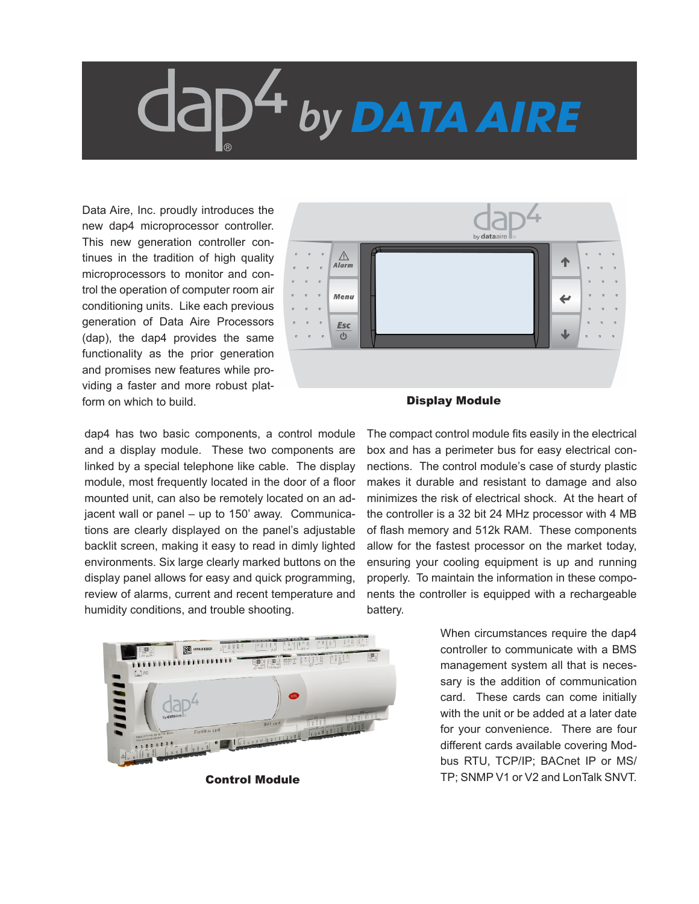## $64$  by DATA AIRE

Data Aire, Inc. proudly introduces the new dap4 microprocessor controller. This new generation controller continues in the tradition of high quality microprocessors to monitor and control the operation of computer room air conditioning units. Like each previous generation of Data Aire Processors (dap), the dap4 provides the same functionality as the prior generation and promises new features while providing a faster and more robust platform on which to build.

dap4 has two basic components, a control module and a display module. These two components are linked by a special telephone like cable. The display module, most frequently located in the door of a floor mounted unit, can also be remotely located on an adjacent wall or panel – up to 150' away. Communications are clearly displayed on the panel's adjustable backlit screen, making it easy to read in dimly lighted environments. Six large clearly marked buttons on the display panel allows for easy and quick programming, review of alarms, current and recent temperature and humidity conditions, and trouble shooting.



Control Module



## Display Module

The compact control module fits easily in the electrical box and has a perimeter bus for easy electrical connections. The control module's case of sturdy plastic makes it durable and resistant to damage and also minimizes the risk of electrical shock. At the heart of the controller is a 32 bit 24 MHz processor with 4 MB of flash memory and 512k RAM. These components allow for the fastest processor on the market today, ensuring your cooling equipment is up and running properly. To maintain the information in these components the controller is equipped with a rechargeable battery.

> When circumstances require the dap4 controller to communicate with a BMS management system all that is necessary is the addition of communication card. These cards can come initially with the unit or be added at a later date for your convenience. There are four different cards available covering Modbus RTU, TCP/IP; BACnet IP or MS/ TP; SNMP V1 or V2 and LonTalk SNVT.